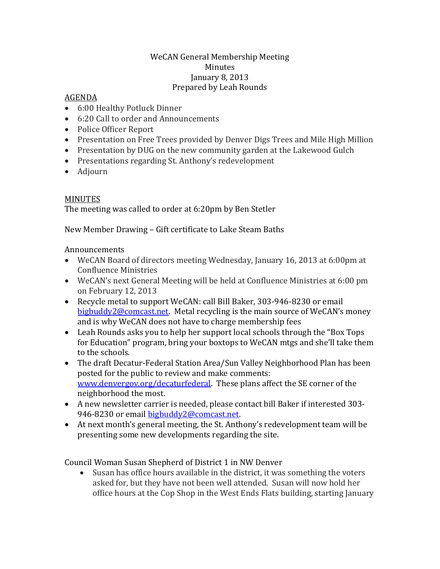## WeCAN General Membership Meeting Minutes January 8, 2013 Prepared by Leah Rounds

## AGENDA

- 6:00 Healthy Potluck Dinner
- 6:20 Call to order and Announcements
- Police Officer Report
- Presentation on Free Trees provided by Denver Digs Trees and Mile High Million
- Presentation by DUG on the new community garden at the Lakewood Gulch
- Presentations regarding St. Anthony's redevelopment
- Adjourn

## MINUTES

The meeting was called to order at 6:20pm by Ben Stetler

New Member Drawing – Gift certificate to Lake Steam Baths

## **Announcements**

- WeCAN Board of directors meeting Wednesday, January 16, 2013 at 6:00pm at Confluence Ministries
- WeCAN's next General Meeting will be held at Confluence Ministries at 6:00 pm on February 12, 2013
- Recycle metal to support WeCAN: call Bill Baker, 303-946-8230 or email [bigbuddy2@comcast.net](mailto:bigbuddy2@comcast.net). Metal recycling is the main source of WeCAN's money and is why WeCAN does not have to charge membership fees
- Leah Rounds asks you to help her support local schools through the "Box Tops for Education" program, bring your boxtops to WeCAN mtgs and she'll take them to the schools.
- The draft Decatur-Federal Station Area/Sun Valley Neighborhood Plan has been posted for the public to review and make comments: [www.denvergov.org/decaturfederal.](http://www.denvergov.org/decaturfederal) These plans affect the SE corner of the neighborhood the most.
- A new newsletter carrier is needed, please contact bill Baker if interested 303- 946-8230 or email [bigbuddy2@comcast.net.](mailto:bigbuddy2@comcast.net)
- At next month's general meeting, the St. Anthony's redevelopment team will be presenting some new developments regarding the site.

Council Woman Susan Shepherd of District 1 in NW Denver

 Susan has office hours available in the district, it was something the voters asked for, but they have not been well attended. Susan will now hold her office hours at the Cop Shop in the West Ends Flats building, starting January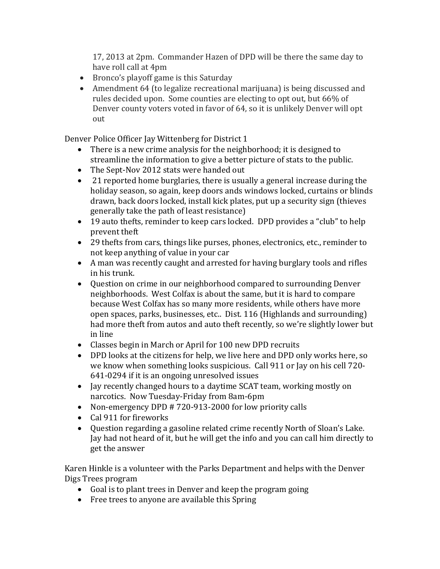17, 2013 at 2pm. Commander Hazen of DPD will be there the same day to have roll call at 4pm

- Bronco's playoff game is this Saturday
- Amendment 64 (to legalize recreational marijuana) is being discussed and rules decided upon. Some counties are electing to opt out, but 66% of Denver county voters voted in favor of 64, so it is unlikely Denver will opt out

Denver Police Officer Jay Wittenberg for District 1

- There is a new crime analysis for the neighborhood; it is designed to streamline the information to give a better picture of stats to the public.
- The Sept-Nov 2012 stats were handed out
- 21 reported home burglaries, there is usually a general increase during the holiday season, so again, keep doors ands windows locked, curtains or blinds drawn, back doors locked, install kick plates, put up a security sign (thieves generally take the path of least resistance)
- 19 auto thefts, reminder to keep cars locked. DPD provides a "club" to help prevent theft
- 29 thefts from cars, things like purses, phones, electronics, etc., reminder to not keep anything of value in your car
- A man was recently caught and arrested for having burglary tools and rifles in his trunk.
- Question on crime in our neighborhood compared to surrounding Denver neighborhoods. West Colfax is about the same, but it is hard to compare because West Colfax has so many more residents, while others have more open spaces, parks, businesses, etc.. Dist. 116 (Highlands and surrounding) had more theft from autos and auto theft recently, so we're slightly lower but in line
- Classes begin in March or April for 100 new DPD recruits
- DPD looks at the citizens for help, we live here and DPD only works here, so we know when something looks suspicious. Call 911 or Jay on his cell 720- 641-0294 if it is an ongoing unresolved issues
- Jay recently changed hours to a daytime SCAT team, working mostly on narcotics. Now Tuesday-Friday from 8am-6pm
- Non-emergency DPD # 720-913-2000 for low priority calls
- Cal 911 for fireworks
- Question regarding a gasoline related crime recently North of Sloan's Lake. Jay had not heard of it, but he will get the info and you can call him directly to get the answer

Karen Hinkle is a volunteer with the Parks Department and helps with the Denver Digs Trees program

- Goal is to plant trees in Denver and keep the program going
- Free trees to anyone are available this Spring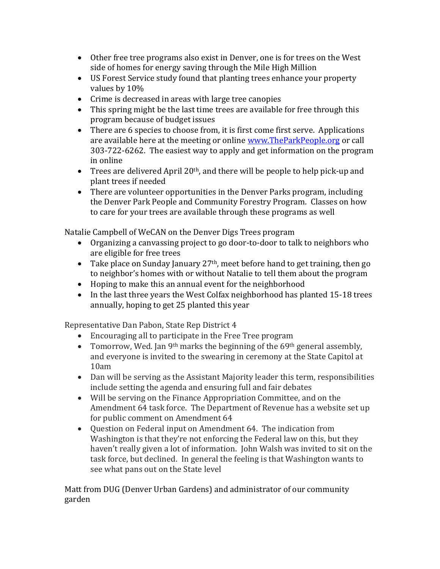- Other free tree programs also exist in Denver, one is for trees on the West side of homes for energy saving through the Mile High Million
- US Forest Service study found that planting trees enhance your property values by 10%
- Crime is decreased in areas with large tree canopies
- This spring might be the last time trees are available for free through this program because of budget issues
- There are 6 species to choose from, it is first come first serve. Applications are available here at the meeting or online [www.TheParkPeople.org](http://www.theparkpeople.org/) or call 303-722-6262. The easiest way to apply and get information on the program in online
- $\bullet$  Trees are delivered April 20<sup>th</sup>, and there will be people to help pick-up and plant trees if needed
- There are volunteer opportunities in the Denver Parks program, including the Denver Park People and Community Forestry Program. Classes on how to care for your trees are available through these programs as well

Natalie Campbell of WeCAN on the Denver Digs Trees program

- Organizing a canvassing project to go door-to-door to talk to neighbors who are eligible for free trees
- $\bullet$  Take place on Sunday January 27<sup>th</sup>, meet before hand to get training, then go to neighbor's homes with or without Natalie to tell them about the program
- Hoping to make this an annual event for the neighborhood
- In the last three years the West Colfax neighborhood has planted 15-18 trees annually, hoping to get 25 planted this year

Representative Dan Pabon, State Rep District 4

- Encouraging all to participate in the Free Tree program
- Tomorrow, Wed. Jan 9<sup>th</sup> marks the beginning of the 69<sup>th</sup> general assembly, and everyone is invited to the swearing in ceremony at the State Capitol at 10am
- Dan will be serving as the Assistant Majority leader this term, responsibilities include setting the agenda and ensuring full and fair debates
- Will be serving on the Finance Appropriation Committee, and on the Amendment 64 task force. The Department of Revenue has a website set up for public comment on Amendment 64
- Question on Federal input on Amendment 64. The indication from Washington is that they're not enforcing the Federal law on this, but they haven't really given a lot of information. John Walsh was invited to sit on the task force, but declined. In general the feeling is that Washington wants to see what pans out on the State level

Matt from DUG (Denver Urban Gardens) and administrator of our community garden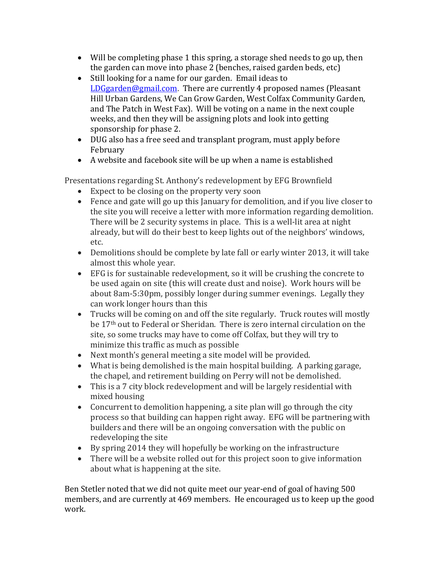- Will be completing phase 1 this spring, a storage shed needs to go up, then the garden can move into phase 2 (benches, raised garden beds, etc)
- Still looking for a name for our garden. Email ideas to [LDGgarden@gmail.com](mailto:LDGgarden@gmail.com). There are currently 4 proposed names (Pleasant Hill Urban Gardens, We Can Grow Garden, West Colfax Community Garden, and The Patch in West Fax). Will be voting on a name in the next couple weeks, and then they will be assigning plots and look into getting sponsorship for phase 2.
- DUG also has a free seed and transplant program, must apply before February
- A website and facebook site will be up when a name is established

Presentations regarding St. Anthony's redevelopment by EFG Brownfield

- Expect to be closing on the property very soon
- Fence and gate will go up this January for demolition, and if you live closer to the site you will receive a letter with more information regarding demolition. There will be 2 security systems in place. This is a well-lit area at night already, but will do their best to keep lights out of the neighbors' windows, etc.
- Demolitions should be complete by late fall or early winter 2013, it will take almost this whole year.
- EFG is for sustainable redevelopment, so it will be crushing the concrete to be used again on site (this will create dust and noise). Work hours will be about 8am-5:30pm, possibly longer during summer evenings. Legally they can work longer hours than this
- Trucks will be coming on and off the site regularly. Truck routes will mostly be 17th out to Federal or Sheridan. There is zero internal circulation on the site, so some trucks may have to come off Colfax, but they will try to minimize this traffic as much as possible
- Next month's general meeting a site model will be provided.
- What is being demolished is the main hospital building. A parking garage, the chapel, and retirement building on Perry will not be demolished.
- This is a 7 city block redevelopment and will be largely residential with mixed housing
- Concurrent to demolition happening, a site plan will go through the city process so that building can happen right away. EFG will be partnering with builders and there will be an ongoing conversation with the public on redeveloping the site
- By spring 2014 they will hopefully be working on the infrastructure
- There will be a website rolled out for this project soon to give information about what is happening at the site.

Ben Stetler noted that we did not quite meet our year-end of goal of having 500 members, and are currently at 469 members. He encouraged us to keep up the good work.